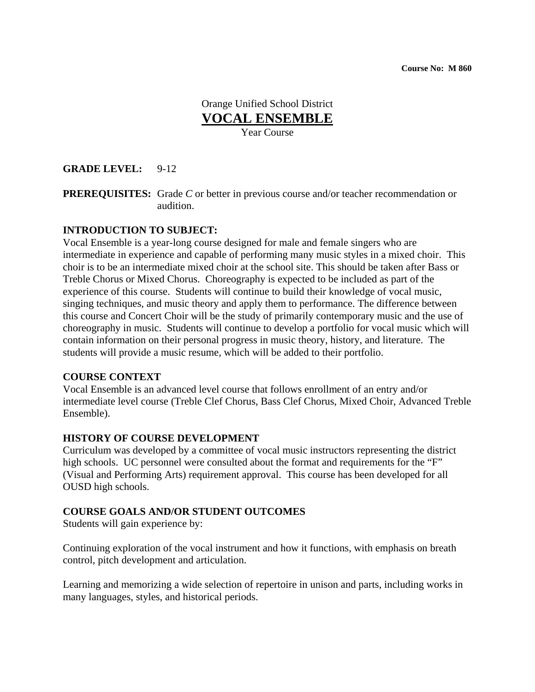## Orange Unified School District **VOCAL ENSEMBLE** Year Course

### **GRADE LEVEL:** 9-12

**PREREQUISITES:** Grade *C* or better in previous course and/or teacher recommendation or audition.

#### **INTRODUCTION TO SUBJECT:**

Vocal Ensemble is a year-long course designed for male and female singers who are intermediate in experience and capable of performing many music styles in a mixed choir. This choir is to be an intermediate mixed choir at the school site. This should be taken after Bass or Treble Chorus or Mixed Chorus. Choreography is expected to be included as part of the experience of this course. Students will continue to build their knowledge of vocal music, singing techniques, and music theory and apply them to performance. The difference between this course and Concert Choir will be the study of primarily contemporary music and the use of choreography in music. Students will continue to develop a portfolio for vocal music which will contain information on their personal progress in music theory, history, and literature. The students will provide a music resume, which will be added to their portfolio.

#### **COURSE CONTEXT**

Vocal Ensemble is an advanced level course that follows enrollment of an entry and/or intermediate level course (Treble Clef Chorus, Bass Clef Chorus, Mixed Choir, Advanced Treble Ensemble).

#### **HISTORY OF COURSE DEVELOPMENT**

Curriculum was developed by a committee of vocal music instructors representing the district high schools. UC personnel were consulted about the format and requirements for the "F" (Visual and Performing Arts) requirement approval. This course has been developed for all OUSD high schools.

#### **COURSE GOALS AND/OR STUDENT OUTCOMES**

Students will gain experience by:

Continuing exploration of the vocal instrument and how it functions, with emphasis on breath control, pitch development and articulation.

Learning and memorizing a wide selection of repertoire in unison and parts, including works in many languages, styles, and historical periods.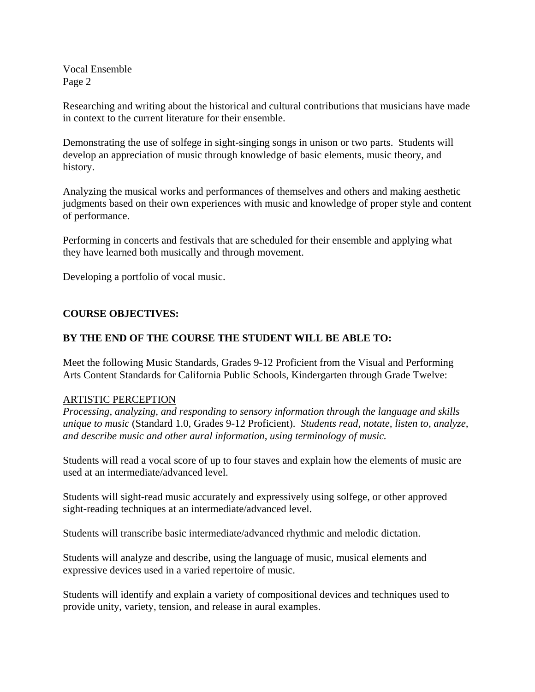Researching and writing about the historical and cultural contributions that musicians have made in context to the current literature for their ensemble.

Demonstrating the use of solfege in sight-singing songs in unison or two parts. Students will develop an appreciation of music through knowledge of basic elements, music theory, and history.

Analyzing the musical works and performances of themselves and others and making aesthetic judgments based on their own experiences with music and knowledge of proper style and content of performance.

Performing in concerts and festivals that are scheduled for their ensemble and applying what they have learned both musically and through movement.

Developing a portfolio of vocal music.

### **COURSE OBJECTIVES:**

### **BY THE END OF THE COURSE THE STUDENT WILL BE ABLE TO:**

Meet the following Music Standards, Grades 9-12 Proficient from the Visual and Performing Arts Content Standards for California Public Schools, Kindergarten through Grade Twelve:

#### ARTISTIC PERCEPTION

*Processing, analyzing, and responding to sensory information through the language and skills unique to music* (Standard 1.0, Grades 9-12 Proficient). *Students read, notate, listen to, analyze, and describe music and other aural information, using terminology of music.*

Students will read a vocal score of up to four staves and explain how the elements of music are used at an intermediate/advanced level.

Students will sight-read music accurately and expressively using solfege, or other approved sight-reading techniques at an intermediate/advanced level.

Students will transcribe basic intermediate/advanced rhythmic and melodic dictation.

Students will analyze and describe, using the language of music, musical elements and expressive devices used in a varied repertoire of music.

Students will identify and explain a variety of compositional devices and techniques used to provide unity, variety, tension, and release in aural examples.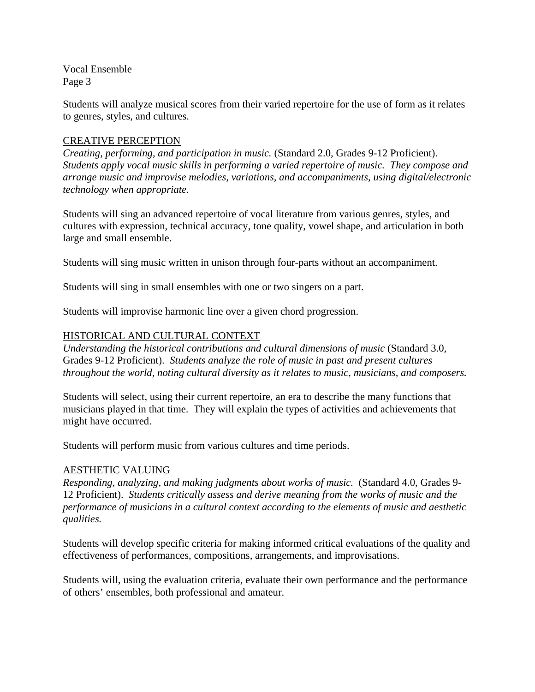Students will analyze musical scores from their varied repertoire for the use of form as it relates to genres, styles, and cultures.

## CREATIVE PERCEPTION

*Creating, performing, and participation in music.* (Standard 2.0, Grades 9-12 Proficient). *Students apply vocal music skills in performing a varied repertoire of music. They compose and arrange music and improvise melodies, variations, and accompaniments, using digital/electronic technology when appropriate.* 

Students will sing an advanced repertoire of vocal literature from various genres, styles, and cultures with expression, technical accuracy, tone quality, vowel shape, and articulation in both large and small ensemble.

Students will sing music written in unison through four-parts without an accompaniment.

Students will sing in small ensembles with one or two singers on a part.

Students will improvise harmonic line over a given chord progression.

## HISTORICAL AND CULTURAL CONTEXT

*Understanding the historical contributions and cultural dimensions of music* (Standard 3.0, Grades 9-12 Proficient). *Students analyze the role of music in past and present cultures throughout the world, noting cultural diversity as it relates to music, musicians, and composers.*

Students will select, using their current repertoire, an era to describe the many functions that musicians played in that time. They will explain the types of activities and achievements that might have occurred.

Students will perform music from various cultures and time periods.

# AESTHETIC VALUING

*Responding, analyzing, and making judgments about works of music.* (Standard 4.0, Grades 9- 12 Proficient). *Students critically assess and derive meaning from the works of music and the performance of musicians in a cultural context according to the elements of music and aesthetic qualities.*

Students will develop specific criteria for making informed critical evaluations of the quality and effectiveness of performances, compositions, arrangements, and improvisations.

Students will, using the evaluation criteria, evaluate their own performance and the performance of others' ensembles, both professional and amateur.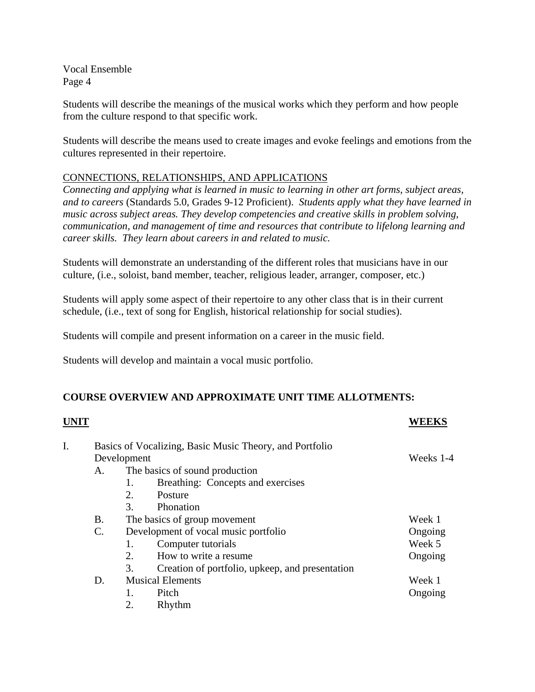Students will describe the meanings of the musical works which they perform and how people from the culture respond to that specific work.

Students will describe the means used to create images and evoke feelings and emotions from the cultures represented in their repertoire.

## CONNECTIONS, RELATIONSHIPS, AND APPLICATIONS

*Connecting and applying what is learned in music to learning in other art forms, subject areas, and to careers* (Standards 5.0, Grades 9-12 Proficient). *Students apply what they have learned in music across subject areas. They develop competencies and creative skills in problem solving, communication, and management of time and resources that contribute to lifelong learning and career skills. They learn about careers in and related to music.*

Students will demonstrate an understanding of the different roles that musicians have in our culture, (i.e., soloist, band member, teacher, religious leader, arranger, composer, etc.)

Students will apply some aspect of their repertoire to any other class that is in their current schedule, (i.e., text of song for English, historical relationship for social studies).

Students will compile and present information on a career in the music field.

Students will develop and maintain a vocal music portfolio.

# **COURSE OVERVIEW AND APPROXIMATE UNIT TIME ALLOTMENTS:**

|                 |                                      |                                                 | WEEKS                                                                                                                                    |
|-----------------|--------------------------------------|-------------------------------------------------|------------------------------------------------------------------------------------------------------------------------------------------|
|                 |                                      |                                                 |                                                                                                                                          |
|                 | Weeks 1-4                            |                                                 |                                                                                                                                          |
| А.              |                                      |                                                 |                                                                                                                                          |
|                 | 1.                                   | Breathing: Concepts and exercises               |                                                                                                                                          |
|                 | 2.                                   | Posture                                         |                                                                                                                                          |
|                 | 3.                                   | Phonation                                       |                                                                                                                                          |
| Β.              |                                      |                                                 | Week 1                                                                                                                                   |
| $\mathcal{C}$ . | Development of vocal music portfolio |                                                 | Ongoing                                                                                                                                  |
|                 | 1.                                   | Computer tutorials                              | Week 5                                                                                                                                   |
|                 | 2.                                   | How to write a resume.                          | Ongoing                                                                                                                                  |
|                 | 3.                                   | Creation of portfolio, upkeep, and presentation |                                                                                                                                          |
| D.              | <b>Musical Elements</b>              |                                                 | Week 1                                                                                                                                   |
|                 | 1.                                   | Pitch                                           | Ongoing                                                                                                                                  |
|                 | 2.                                   | Rhythm                                          |                                                                                                                                          |
|                 |                                      |                                                 | Basics of Vocalizing, Basic Music Theory, and Portfolio<br>Development<br>The basics of sound production<br>The basics of group movement |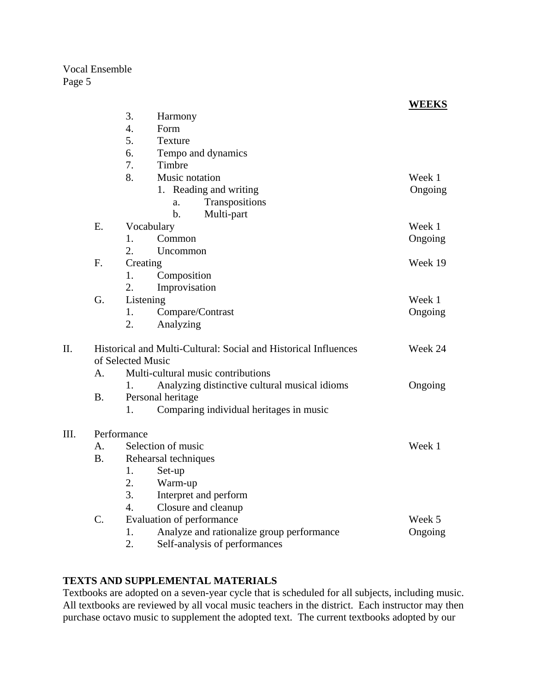|      |                                                                 |                                    |                                               | <b>WEEKS</b> |
|------|-----------------------------------------------------------------|------------------------------------|-----------------------------------------------|--------------|
|      |                                                                 | 3.                                 | Harmony                                       |              |
|      |                                                                 | $\overline{4}$ .                   | Form                                          |              |
|      |                                                                 | 5.                                 | <b>Texture</b>                                |              |
|      |                                                                 | 6.                                 | Tempo and dynamics                            |              |
|      |                                                                 | 7.                                 | Timbre                                        |              |
|      |                                                                 | 8.                                 | Music notation                                | Week 1       |
|      |                                                                 |                                    | 1. Reading and writing                        | Ongoing      |
|      |                                                                 |                                    | Transpositions<br>a.                          |              |
|      |                                                                 |                                    | $b$ .<br>Multi-part                           |              |
|      | E.                                                              |                                    | Vocabulary                                    | Week 1       |
|      |                                                                 | 1.                                 | Common                                        | Ongoing      |
|      |                                                                 | 2.                                 | Uncommon                                      |              |
|      | F.                                                              | Creating                           | Week 19                                       |              |
|      |                                                                 | 1.                                 | Composition                                   |              |
|      |                                                                 | 2.                                 | Improvisation                                 |              |
|      | G.                                                              | Listening                          | Week 1                                        |              |
|      |                                                                 | 1.                                 | Compare/Contrast                              | Ongoing      |
|      |                                                                 | 2.                                 | Analyzing                                     |              |
| II.  | Historical and Multi-Cultural: Social and Historical Influences | Week 24                            |                                               |              |
|      |                                                                 | of Selected Music                  |                                               |              |
|      | A <sub>1</sub>                                                  | Multi-cultural music contributions |                                               |              |
|      |                                                                 | 1.                                 | Analyzing distinctive cultural musical idioms | Ongoing      |
|      | <b>B.</b>                                                       | Personal heritage                  |                                               |              |
|      |                                                                 | 1.                                 | Comparing individual heritages in music       |              |
| III. | Performance                                                     |                                    |                                               |              |
|      | $\mathsf{A}$ .                                                  | Selection of music                 | Week 1                                        |              |
|      | <b>B.</b>                                                       | Rehearsal techniques               |                                               |              |
|      |                                                                 | 1.                                 | Set-up                                        |              |
|      |                                                                 | 2.                                 | Warm-up                                       |              |
|      |                                                                 | 3.                                 | Interpret and perform                         |              |
|      |                                                                 | 4.                                 | Closure and cleanup                           |              |
|      | $C_{\cdot}$                                                     |                                    | Evaluation of performance                     | Week 5       |
|      |                                                                 | 1.                                 | Analyze and rationalize group performance     | Ongoing      |
|      |                                                                 | 2.                                 | Self-analysis of performances                 |              |

## **TEXTS AND SUPPLEMENTAL MATERIALS**

Textbooks are adopted on a seven-year cycle that is scheduled for all subjects, including music. All textbooks are reviewed by all vocal music teachers in the district. Each instructor may then purchase octavo music to supplement the adopted text. The current textbooks adopted by our